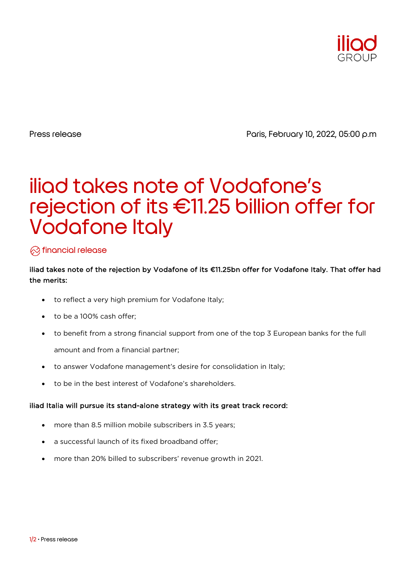

Press release Press release Press release Press release Press release Press release Press release Press release

# iliad takes note of Vodafone's rejection of its €11.25 billion offer for Vodafone Italy

### $\oslash$  financial release

#### iliad takes note of the rejection by Vodafone of its €11.25bn offer for Vodafone Italy. That offer had the merits:

- to reflect a very high premium for Vodafone Italy;
- to be a 100% cash offer;
- to benefit from a strong financial support from one of the top 3 European banks for the full amount and from a financial partner;
- to answer Vodafone management's desire for consolidation in Italy;
- to be in the best interest of Vodafone's shareholders.

#### iliad Italia will pursue its stand-alone strategy with its great track record:

- more than 8.5 million mobile subscribers in 3.5 years;
- a successful launch of its fixed broadband offer:
- more than 20% billed to subscribers' revenue growth in 2021.